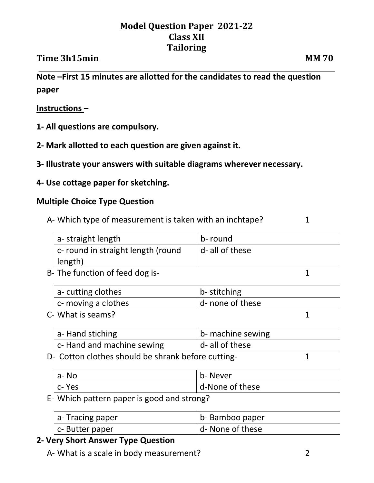# **Model Question Paper 2021-22 Class XII Tailoring**

## **Time 3h15min MM 70**

**Note –First 15 minutes are allotted for the candidates to read the question paper**

#### **Instructions –**

- **1- All questions are compulsory.**
- **2- Mark allotted to each question are given against it.**
- **3- Illustrate your answers with suitable diagrams wherever necessary.**
- **4- Use cottage paper for sketching.**

#### **Multiple Choice Type Question**

A- Which type of measurement is taken with an inchtape? 1

a- straight length  $\vert$  b- round c- round in straight length (round length) d- all of these

B- The function of feed dog is-<br>
1

| a-cutting clothes       | b- stitching     |  |
|-------------------------|------------------|--|
| $ c$ - moving a clothes | d- none of these |  |
| C- What is seams?       |                  |  |

|                                                    | a-Hand stiching           | b- machine sewing |  |
|----------------------------------------------------|---------------------------|-------------------|--|
|                                                    | c-Hand and machine sewing | d- all of these   |  |
| D- Cotton clothes should be shrank before cutting- |                           |                   |  |

| a- No    | b- Never        |
|----------|-----------------|
| l c- Yes | d-None of these |

E- Which pattern paper is good and strong?

| $ a-Tracing paper$ | b-Bamboo paper   |
|--------------------|------------------|
| c- Butter paper    | d- None of these |

### **2- Very Short Answer Type Question**

A- What is a scale in body measurement?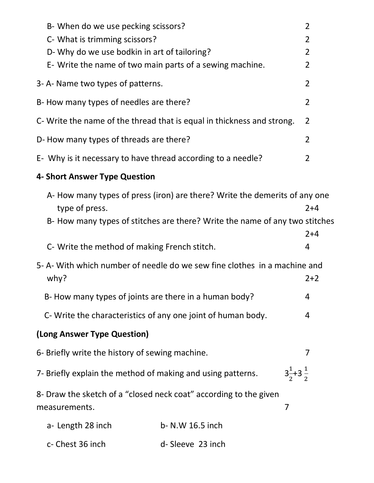|                                                                                   | B- When do we use pecking scissors?                         |                                                                             | $\overline{2}$              |
|-----------------------------------------------------------------------------------|-------------------------------------------------------------|-----------------------------------------------------------------------------|-----------------------------|
|                                                                                   | C- What is trimming scissors?                               |                                                                             | $\overline{2}$              |
|                                                                                   | D- Why do we use bodkin in art of tailoring?                |                                                                             | $\overline{2}$              |
|                                                                                   | E- Write the name of two main parts of a sewing machine.    |                                                                             | $\overline{2}$              |
|                                                                                   | 3-A-Name two types of patterns.                             |                                                                             | $\overline{2}$              |
|                                                                                   | B- How many types of needles are there?                     |                                                                             | $\overline{2}$              |
|                                                                                   |                                                             | C- Write the name of the thread that is equal in thickness and strong.      | $\overline{2}$              |
| D- How many types of threads are there?                                           |                                                             |                                                                             | $\overline{2}$              |
| E- Why is it necessary to have thread according to a needle?                      |                                                             |                                                                             | 2                           |
|                                                                                   | 4- Short Answer Type Question                               |                                                                             |                             |
|                                                                                   | type of press.                                              | A- How many types of press (iron) are there? Write the demerits of any one  | $2+4$                       |
|                                                                                   |                                                             | B- How many types of stitches are there? Write the name of any two stitches | $2 + 4$                     |
|                                                                                   | C- Write the method of making French stitch.                |                                                                             | 4                           |
| 5- A- With which number of needle do we sew fine clothes in a machine and<br>why? |                                                             |                                                                             | $2+2$                       |
|                                                                                   | B-How many types of joints are there in a human body?       |                                                                             | 4                           |
|                                                                                   | C-Write the characteristics of any one joint of human body. |                                                                             | 4                           |
|                                                                                   | (Long Answer Type Question)                                 |                                                                             |                             |
|                                                                                   | 6- Briefly write the history of sewing machine.             |                                                                             | 7                           |
|                                                                                   | 7- Briefly explain the method of making and using patterns. |                                                                             | $3\frac{1}{2}+3\frac{1}{2}$ |
|                                                                                   | measurements.                                               | 8- Draw the sketch of a "closed neck coat" according to the given           | 7                           |
|                                                                                   | a- Length 28 inch                                           | b- N.W 16.5 inch                                                            |                             |
|                                                                                   | c- Chest 36 inch                                            | d-Sleeve 23 inch                                                            |                             |